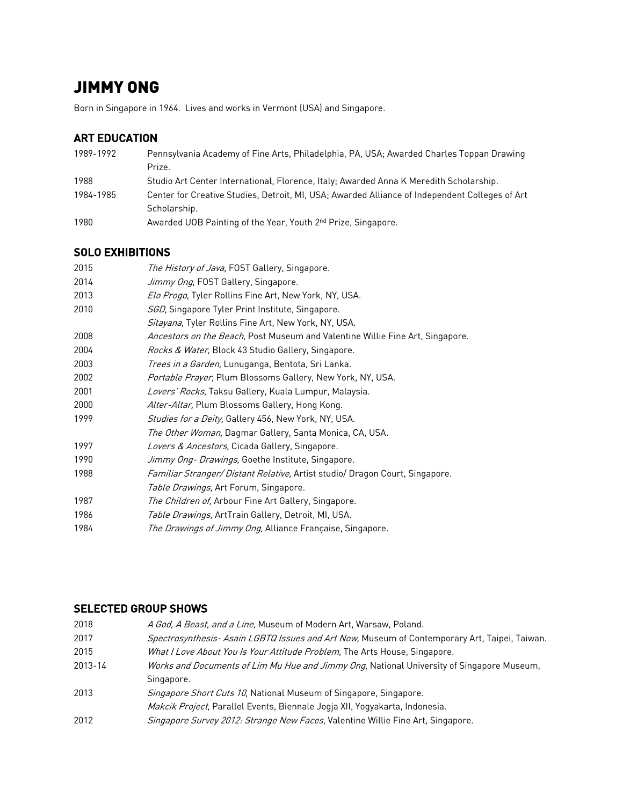# JIMMY ONG

Born in Singapore in 1964. Lives and works in Vermont (USA) and Singapore.

## ART EDUCATION

| 1989-1992 | Pennsylvania Academy of Fine Arts, Philadelphia, PA, USA; Awarded Charles Toppan Drawing       |
|-----------|------------------------------------------------------------------------------------------------|
|           | Prize.                                                                                         |
| 1988      | Studio Art Center International, Florence, Italy; Awarded Anna K Meredith Scholarship.         |
| 1984-1985 | Center for Creative Studies, Detroit, MI, USA; Awarded Alliance of Independent Colleges of Art |
|           | Scholarship.                                                                                   |
| 1980      | Awarded UOB Painting of the Year, Youth 2 <sup>nd</sup> Prize, Singapore.                      |

## SOLO EXHIBITIONS

| 2015 | <i>The History of Java</i> , FOST Gallery, Singapore.                         |
|------|-------------------------------------------------------------------------------|
| 2014 | Jimmy Ong, FOST Gallery, Singapore.                                           |
| 2013 | Elo Progo, Tyler Rollins Fine Art, New York, NY, USA.                         |
| 2010 | SGD, Singapore Tyler Print Institute, Singapore.                              |
|      | Sitayana, Tyler Rollins Fine Art, New York, NY, USA.                          |
| 2008 | Ancestors on the Beach, Post Museum and Valentine Willie Fine Art, Singapore. |
| 2004 | Rocks & Water, Block 43 Studio Gallery, Singapore.                            |
| 2003 | <i>Trees in a Garden,</i> Lunuganga, Bentota, Sri Lanka.                      |
| 2002 | Portable Prayer, Plum Blossoms Gallery, New York, NY, USA.                    |
| 2001 | Lovers' Rocks, Taksu Gallery, Kuala Lumpur, Malaysia.                         |
| 2000 | Alter-Altar, Plum Blossoms Gallery, Hong Kong.                                |
| 1999 | Studies for a Deity, Gallery 456, New York, NY, USA.                          |
|      | <i>The Other Woman,</i> Dagmar Gallery, Santa Monica, CA, USA.                |
| 1997 | Lovers & Ancestors, Cicada Gallery, Singapore.                                |
| 1990 | <i>Jimmy Ong- Drawings</i> , Goethe Institute, Singapore.                     |
| 1988 | Familiar Stranger/Distant Relative, Artist studio/ Dragon Court, Singapore.   |
|      | Table Drawings, Art Forum, Singapore.                                         |
| 1987 | The Children of, Arbour Fine Art Gallery, Singapore.                          |
| 1986 | Table Drawings, ArtTrain Gallery, Detroit, MI, USA.                           |
| 1984 | The Drawings of Jimmy Ong, Alliance Française, Singapore.                     |

### SELECTED GROUP SHOWS

| 2018    | A God, A Beast, and a Line, Museum of Modern Art, Warsaw, Poland.                             |
|---------|-----------------------------------------------------------------------------------------------|
| 2017    | Spectrosynthesis- Asain LGBTQ Issues and Art Now, Museum of Contemporary Art, Taipei, Taiwan. |
| 2015    | What I Love About You Is Your Attitude Problem, The Arts House, Singapore.                    |
| 2013-14 | Works and Documents of Lim Mu Hue and Jimmy Ong, National University of Singapore Museum,     |
|         | Singapore.                                                                                    |
| 2013    | Singapore Short Cuts 10, National Museum of Singapore, Singapore.                             |
|         | Makcik Project, Parallel Events, Biennale Jogja XII, Yogyakarta, Indonesia.                   |
| 2012    | Singapore Survey 2012: Strange New Faces, Valentine Willie Fine Art, Singapore.               |
|         |                                                                                               |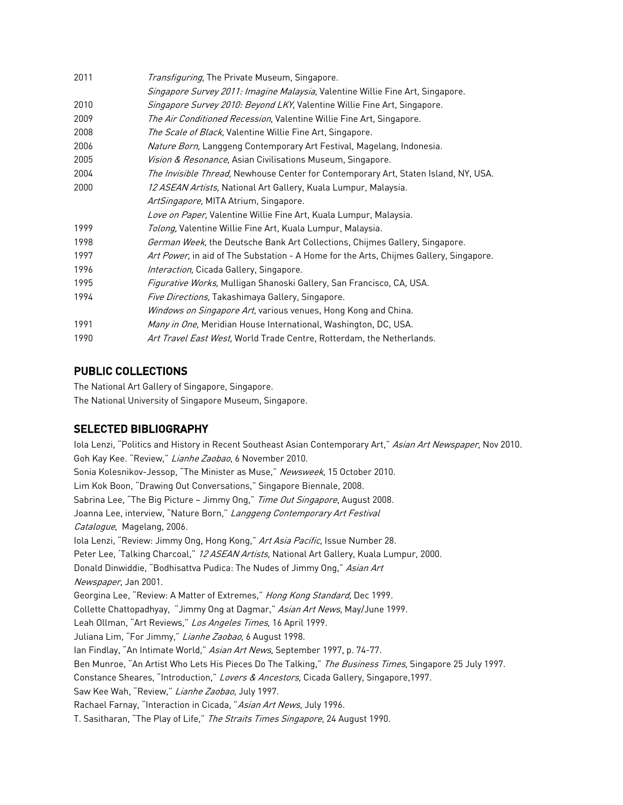| 2011 | Transfiguring, The Private Museum, Singapore.                                          |
|------|----------------------------------------------------------------------------------------|
|      | Singapore Survey 2011: Imagine Malaysia, Valentine Willie Fine Art, Singapore.         |
| 2010 | Singapore Survey 2010: Beyond LKY, Valentine Willie Fine Art, Singapore.               |
| 2009 | The Air Conditioned Recession, Valentine Willie Fine Art, Singapore.                   |
| 2008 | The Scale of Black, Valentine Willie Fine Art, Singapore.                              |
| 2006 | Nature Born, Langgeng Contemporary Art Festival, Magelang, Indonesia.                  |
| 2005 | Vision & Resonance, Asian Civilisations Museum, Singapore.                             |
| 2004 | The Invisible Thread, Newhouse Center for Contemporary Art, Staten Island, NY, USA.    |
| 2000 | 12 ASEAN Artists, National Art Gallery, Kuala Lumpur, Malaysia.                        |
|      | ArtSingapore, MITA Atrium, Singapore.                                                  |
|      | Love on Paper, Valentine Willie Fine Art, Kuala Lumpur, Malaysia.                      |
| 1999 | Tolong, Valentine Willie Fine Art, Kuala Lumpur, Malaysia.                             |
| 1998 | German Week, the Deutsche Bank Art Collections, Chijmes Gallery, Singapore.            |
| 1997 | Art Power, in aid of The Substation - A Home for the Arts, Chijmes Gallery, Singapore. |
| 1996 | Interaction, Cicada Gallery, Singapore.                                                |
| 1995 | Figurative Works, Mulligan Shanoski Gallery, San Francisco, CA, USA.                   |
| 1994 | <i>Five Directions,</i> Takashimaya Gallery, Singapore.                                |
|      | Windows on Singapore Art, various venues, Hong Kong and China.                         |
| 1991 | Many in One, Meridian House International, Washington, DC, USA.                        |
| 1990 | Art Travel East West, World Trade Centre, Rotterdam, the Netherlands.                  |

#### PUBLIC COLLECTIONS

The National Art Gallery of Singapore, Singapore. The National University of Singapore Museum, Singapore.

#### SELECTED BIBLIOGRAPHY

Iola Lenzi, "Politics and History in Recent Southeast Asian Contemporary Art," Asian Art Newspaper, Nov 2010. Goh Kay Kee. "Review," Lianhe Zaobao, 6 November 2010. Sonia Kolesnikov-Jessop, "The Minister as Muse," Newsweek, 15 October 2010. Lim Kok Boon, "Drawing Out Conversations," Singapore Biennale, 2008. Sabrina Lee, "The Big Picture - Jimmy Ong," Time Out Singapore, August 2008. Joanna Lee, interview, "Nature Born," Langgeng Contemporary Art Festival Catalogue, Magelang, 2006. Iola Lenzi, "Review: Jimmy Ong, Hong Kong," Art Asia Pacific, Issue Number 28. Peter Lee, 'Talking Charcoal," 12 ASEAN Artists, National Art Gallery, Kuala Lumpur, 2000. Donald Dinwiddie, "Bodhisattva Pudica: The Nudes of Jimmy Ong," Asian Art Newspaper, Jan 2001. Georgina Lee, "Review: A Matter of Extremes," Hong Kong Standard, Dec 1999. Collette Chattopadhyay, "Jimmy Ong at Dagmar," Asian Art News, May/June 1999. Leah Ollman, "Art Reviews," Los Angeles Times, 16 April 1999. Juliana Lim, "For Jimmy," Lianhe Zaobao, 6 August 1998. Ian Findlay, "An Intimate World," Asian Art News, September 1997, p. 74-77. Ben Munroe, "An Artist Who Lets His Pieces Do The Talking," The Business Times, Singapore 25 July 1997. Constance Sheares, "Introduction," Lovers & Ancestors, Cicada Gallery, Singapore, 1997. Saw Kee Wah, "Review," Lianhe Zaobao, July 1997. Rachael Farnay, "Interaction in Cicada, "Asian Art News, July 1996. T. Sasitharan, "The Play of Life," The Straits Times Singapore, 24 August 1990.